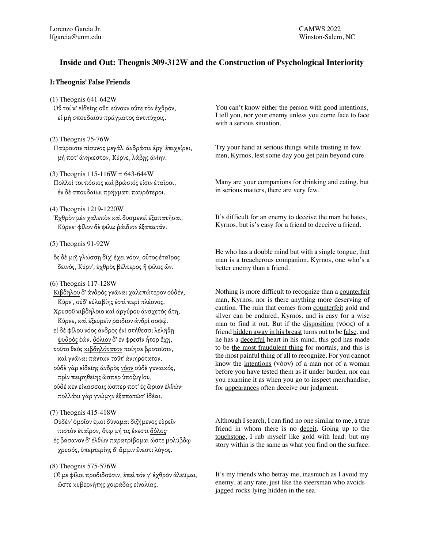## **Inside and Out: Theognis 309-312W and the Construction of Psychological Interiority**

### **I: Theognis' False Friends**

(1) Theognis 641-642W

- Οὔ τοί κ' εἰδείης οὔτ' εὔνουν οὔτε τὸν ἐχθρόν, εἰ μὴ σπουδαίου πράγματος ἀντιτύχοις.
- (2) Theognis 75-76W Παύροισιν πίσυνος μεγάλ' ἀνδράσιν ἔργ' ἐπιχείρει, μή ποτ' ἀνήκεστον, Κύρνε, λάβῃς ἀνίην.
- $(3)$  Theognis 115-116W = 643-644W Πολλοί τοι πόσιος καὶ βρώσιός εἰσιν ἑταῖροι, ἐν δὲ σπουδαίωι πρήγματι παυρότεροι.
- (4) Theognis 1219-1220W
- Ἐχθρὸν μὲν χαλεπὸν καὶ δυσμενεῖ ἐξαπατῆσαι, Κύρνε· φίλον δὲ φίλῳ ῥάιδιον ἐξαπατᾶν.
- (5) Theognis 91-92W
- ὃς δὲ μιῇ γλώσσῃ δίχ' ἔχει νόον, οὗτος ἑταῖρος δεινός, Κύρν', ἐχθρὸς βέλτερος ἢ φίλος ὤν.
- (6) Theognis 117-128W

Κιβδήλου δ' ἀνδρὸς γνῶναι χαλεπώτερον οὐδέν, Κύρν', οὐδ' εὐλαβίης ἐστὶ περὶ πλέονος. Χρυσοῦ κιβδήλοιο καὶ ἀργύρου ἀνσχετὸς ἄτη, Κύρνε, καὶ ἐξευρεῖν ῥάιδιον ἀνδρὶ σοφῷ. εἰ δὲ φίλου νόος ἀνδρὸς ἐνὶ στήθεσσι λελήθῃ ψυδρὸς ἐών, δόλιον δ' ἐν φρεσὶν ἦτορ ἔχῃ, τοῦτο θεὸς κιβδηλότατον ποίησε βροτοῖσιν, καὶ γνῶναι πάντων τοῦτ' ἀνιηρότατον. οὐδὲ γὰρ εἰδείης ἀνδρὸς νόον οὐδὲ γυναικός, πρὶν πειρηθείης ὥσπερ ὑποζυγίου, οὐδέ κεν εἰκάσσαις ὥσπερ ποτ' ἐς ὥριον ἐλθών·

- πολλάκι γὰρ γνώμην ἐξαπατῶσ' ἰδέαι.
- (7) Theognis 415-418W

Οὐδέν' ὁμοῖον ἐμοὶ δύναμαι διζήμενος εὑρεῖν πιστὸν ἑταῖρον, ὅτῳ μή τις ἔνεστι δόλος· ἐς βάσανον δ' ἐλθὼν παρατρίβομαι ὥστε μολύβδῳ χρυσός, ὑπερτερίης δ' ἄμμιν ἔνεστι λόγος.

### (8) Theognis 575-576W

Οἵ με φίλοι προδιδοῦσιν, ἐπεὶ τόν γ' ἐχθρὸν ἀλεῦμαι, ὥστε κυβερνήτης χοιράδας εἰναλίας.

You can't know either the person with good intentions, I tell you, nor your enemy unless you come face to face with a serious situation.

Try your hand at serious things while trusting in few men, Kyrnos, lest some day you get pain beyond cure.

Many are your companions for drinking and eating, but in serious matters, there are very few.

It's difficult for an enemy to deceive the man he hates, Kyrnos, but is's easy for a friend to deceive a friend.

He who has a double mind but with a single tongue, that man is a treacherous companion, Kyrnos, one who's a better enemy than a friend.

Nothing is more difficult to recognize than a counterfeit man, Kyrnos, nor is there anything more deserving of caution. The ruin that comes from counterfeit gold and silver can be endured, Kyrnos, and is easy for a wise man to find it out. But if the disposition (νόος) of a friend hidden away in his breast turns out to be false, and he has a deceitful heart in his mind, this god has made to be the most fraudulent thing for mortals, and this is the most painful thing of all to recognize. For you cannot know the intentions (νόον) of a man nor of a woman before you have tested them as if under burden, nor can you examine it as when you go to inspect merchandise, for appearances often deceive our judgment.

Although I search, I can find no one similar to me, a true friend in whom there is no deceit. Going up to the touchstone, I rub myself like gold with lead: but my story within is the same as what you find on the surface.

It's my friends who betray me, inasmuch as I avoid my enemy, at any rate, just like the steersman who avoids jagged rocks lying hidden in the sea.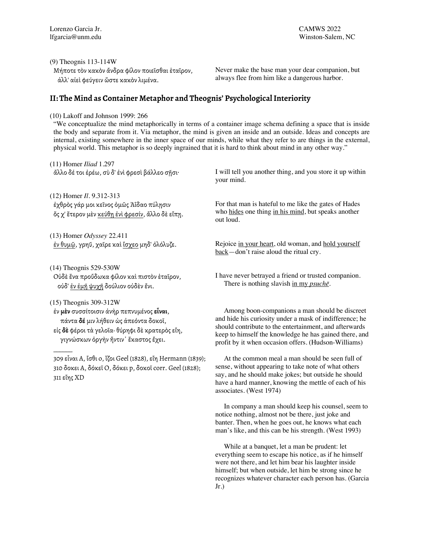(9) Theognis 113-114W

Μήποτε τὸν κακὸν ἄνδρα φίλον ποιεῖσθαι ἑταῖρον, ἀλλ' αἰεὶ φεύγειν ὥστε κακὸν λιμένα.

Never make the base man your dear companion, but always flee from him like a dangerous harbor.

# **II: The Mind as Container Metaphor and Theognis' Psychological Interiority**

### (10) Lakoff and Johnson 1999: 266

"We conceptualize the mind metaphorically in terms of a container image schema defining a space that is inside the body and separate from it. Via metaphor, the mind is given an inside and an outside. Ideas and concepts are internal, existing somewhere in the inner space of our minds, while what they refer to are things in the external, physical world. This metaphor is so deeply ingrained that it is hard to think about mind in any other way."

| $(11)$ Homer <i>Iliad</i> 1.297                                                                                | I will tell you another thing, and you store it up within                                                                                                                                        |
|----------------------------------------------------------------------------------------------------------------|--------------------------------------------------------------------------------------------------------------------------------------------------------------------------------------------------|
| ἄλλο δέ τοι έρέω, σὺ δ' ένὶ φρεσὶ βάλλεο σῆσι·                                                                 | your mind.                                                                                                                                                                                       |
| (12) Homer <i>Il.</i> 9.312-313                                                                                | For that man is hateful to me like the gates of Hades                                                                                                                                            |
| έχθρὸς γάρ μοι κεῖνος ὁμῶς Ἀΐδαο πύλησιν                                                                       | who hides one thing in his mind, but speaks another                                                                                                                                              |
| ὄς χ' ἕτερον μὲν κεύθη ἐνὶ φρεσίν, ἄλλο δὲ εἴπη.                                                               | out loud.                                                                                                                                                                                        |
| (13) Homer Odyssey 22.411                                                                                      | Rejoice in your heart, old woman, and hold yourself                                                                                                                                              |
| έν θυμῷ, γρηῦ, χαῖρε καὶ ἴσχεο μηδ' ὀλόλυζε.                                                                   | $back$ —don't raise aloud the ritual cry.                                                                                                                                                        |
| $(14)$ Theognis 529-530W<br>Ούδε ένα προὔδωκα φίλον καὶ πιστὸν εταῖρον,<br>ούδ' έν έμη ψυχη δούλιον ούδεν ένι. | I have never betrayed a friend or trusted companion.<br>There is nothing slavish in my <i>psuche</i> .                                                                                           |
| $(15)$ Theognis 309-312W                                                                                       | Among boon-companions a man should be discreet                                                                                                                                                   |
| έν μέν συσσίτοισιν άνήρ πεπνυμένος είναι,                                                                      | and hide his curiosity under a mask of indifference; he                                                                                                                                          |
| πάντα δέ μιν λήθειν ώς άπεόντα δοκοί,                                                                          | should contribute to the entertainment, and afterwards                                                                                                                                           |
| είς δε φέροι τὰ γελοῖα· θύρηφι δὲ κρατερὸς εἴη,                                                                | keep to himself the knowledge he has gained there, and                                                                                                                                           |
| γιγνώσκων όργήν ήντιν' έκαστος έχει.                                                                           | profit by it when occasion offers. (Hudson-Williams)                                                                                                                                             |
| 309 εἶναι Α, ἴσθι ο, ἵζοι Geel (1828), εἴη Hermann (1839);                                                     | At the common meal a man should be seen full of                                                                                                                                                  |
| 310 δοκει Α, δόκεῖ Ο, δόκει p, δοκοῖ corr. Geel (1828);<br>311 εἴης XD                                         | sense, without appearing to take note of what others<br>say, and he should make jokes; but outside he should<br>have a hard manner, knowing the mettle of each of his<br>associates. (West 1974) |
|                                                                                                                | In company a man should keep his counsel, seem to<br>notice nothing, almost not be there, just joke and<br>banter. Then, when he goes out, he knows what each                                    |

 While at a banquet, let a man be prudent: let everything seem to escape his notice, as if he himself were not there, and let him bear his laughter inside himself; but when outside, let him be strong since he recognizes whatever character each person has. (Garcia Jr.)

man's like, and this can be his strength. (West 1993)